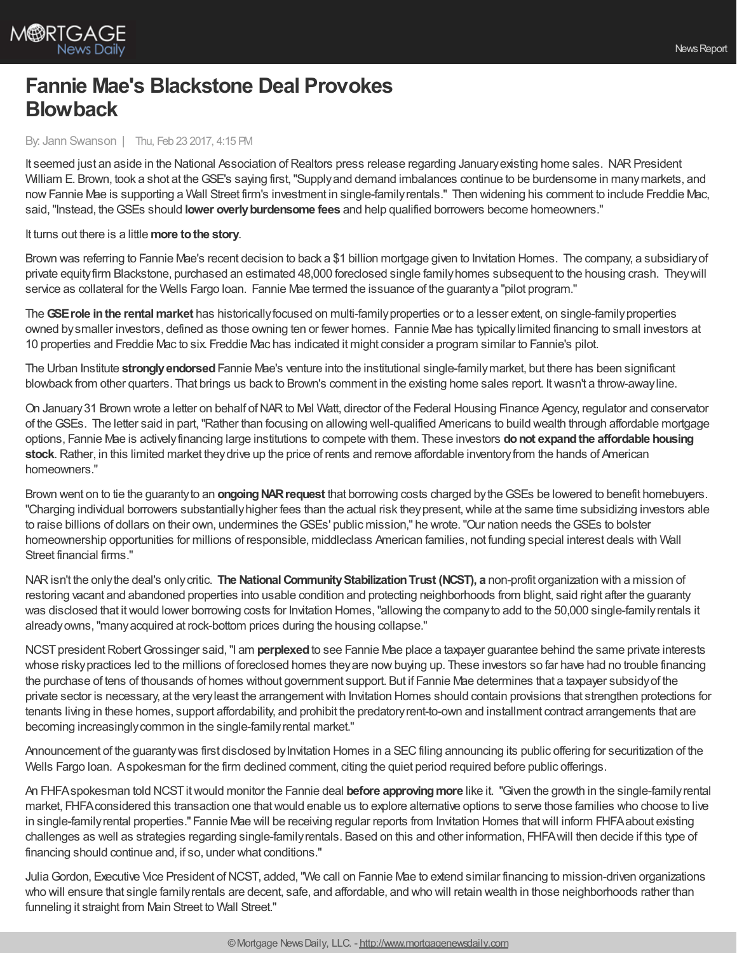

## **Fannie Mae's Blackstone Deal Provokes Blowback**

By: Jann Swanson | Thu, Feb 23 2017, 4:15 PM

It seemed just an aside in the National Association of Realtors press release regarding January existing home sales. NAR President William E. Brown, took a shot at theGSE's saying first,"Supplyand demand imbalances continue to be burdensome in manymarkets, and nowFannie Mae is supporting a Wall Street firm's investment in single-familyrentals." Then widening his comment to include Freddie Mac, said,"Instead, theGSEs should **lower overlyburdensome fees** and help qualified borrowers become homeowners."

It turns out there is a little **more to the story**.

Brown was referring to Fannie Mae's recent decision to back a \$1 billion mortgage given to Invitation Homes. The company, a subsidiaryof private equityfirm Blackstone, purchased an estimated 48,000 foreclosed single familyhomes subsequent to the housing crash. Theywill service as collateral for the Wells Fargo Ioan. Fannie Mae termed the issuance of the guaranty a "pilot program."

The**GSErole inthe rentalmarket** has historicallyfocused on multi-familyproperties or to a lesser extent, on single-familyproperties owned bysmaller investors, defined as those owning ten or fewer homes. Fannie Mae has typicallylimited financing to small investors at 10 properties and Freddie Mac to six. Freddie Mac has indicated it might consider a program similar to Fannie's pilot.

The Urban Institute **stronglyendorsed**Fannie Mae's venture into the institutional single-familymarket, but there has been significant blowback from other quarters. That brings us back to Brown's comment in the existing home sales report. Itwasn't a throw-awayline.

On January 31 Brown wrote a letter on behalf of NAR to Mel Watt, director of the Federal Housing Finance Agency, regulator and conservator of theGSEs. The letter said in part,"Rather than focusing on allowing well-qualified Americans to build wealth through affordable mortgage options, Fannie Mae is activelyfinancing large institutions to compete with them. These investors **donot expandthe affordable housing stock**.Rather, in this limited market theydrive up the price of rents and remove affordable inventoryfrom the hands of American homeowners."

Brown went on to tie the guaranty to an **ongoing NAR request** that borrowing costs charged by the GSEs be lowered to benefit homebuyers. "Charging individual borrowers substantially higher fees than the actual risk they present, while at the same time subsidizing investors able to raise billions of dollars on their own, undermines the GSEs' public mission," he wrote. "Our nation needs the GSEs to bolster homeownership opportunities for millions of responsible, middleclass American families, not funding special interest deals with Wall Street financial firms."

NARisn't the onlythe deal's onlycritic. **The NationalCommunityStabilizationTrust (NCST), a** non-profit organization with a mission of restoring vacant and abandoned properties into usable condition and protecting neighborhoods from blight, said right after the guaranty was disclosed that itwould lower borrowing costs for Invitation Homes,"allowing the companyto add to the 50,000 single-familyrentals it alreadyowns,"manyacquired at rock-bottom prices during the housing collapse."

NCST president Robert Grossinger said, "I am **perplexed** to see Fannie Mae place a taxpayer guarantee behind the same private interests whose risky practices led to the millions of foreclosed homes they are now buying up. These investors so far have had no trouble financing the purchase of tens of thousands of homes without government support. But if Fannie Mae determines that a taxpayer subsidyof the private sector is necessary, at the veryleast the arrangementwith Invitation Homes should contain provisions that strengthen protections for tenants living in these homes, support affordability, and prohibit the predatoryrent-to-own and installment contract arrangements that are becoming increasingly common in the single-family rental market."

Announcement of the guaranty was first disclosed by Invitation Homes in a SEC filing announcing its public offering for securitization of the Wells Fargo loan. Aspokesman for the firm declined comment, citing the quiet period required before public offerings.

An FHFAspokesman told NCSTitwould monitor the Fannie deal **before approvingmore** like it. "Given the growth in the single-familyrental market, FHFAconsidered this transaction one thatwould enable us to explore alternative options to serve those families who choose to live in single-familyrental properties." Fannie Mae will be receiving regular reports from Invitation Homes thatwill inform FHFAabout existing challenges as well as strategies regarding single-familyrentals. Based on this and other information, FHFAwill then decide if this type of financing should continue and, if so, under what conditions."

JuliaGordon, Executive Vice President ofNCST, added,"We call on Fannie Mae to extend similar financing to mission-driven organizations who will ensure that single familyrentals are decent, safe, and affordable, and who will retain wealth in those neighborhoods rather than funneling it straight from Main Street to Wall Street."